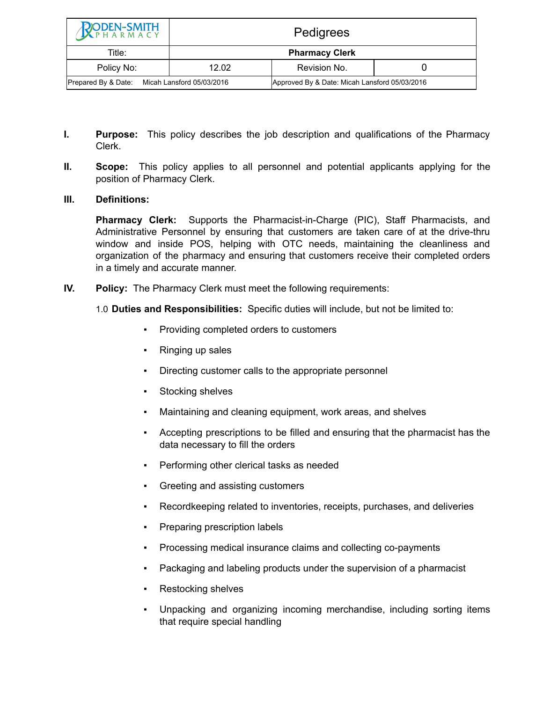| <b>RODEN-SMITH</b>                            |                       | Pedigrees                                     |  |
|-----------------------------------------------|-----------------------|-----------------------------------------------|--|
| Title:                                        | <b>Pharmacy Clerk</b> |                                               |  |
| Policy No:                                    | 12.02                 | Revision No.                                  |  |
| Prepared By & Date: Micah Lansford 05/03/2016 |                       | Approved By & Date: Micah Lansford 05/03/2016 |  |

- **I. Purpose:** This policy describes the job description and qualifications of the Pharmacy Clerk.
- **II. Scope:** This policy applies to all personnel and potential applicants applying for the position of Pharmacy Clerk.

## **III. Definitions:**

**Pharmacy Clerk:** Supports the Pharmacist-in-Charge (PIC), Staff Pharmacists, and Administrative Personnel by ensuring that customers are taken care of at the drive-thru window and inside POS, helping with OTC needs, maintaining the cleanliness and organization of the pharmacy and ensuring that customers receive their completed orders in a timely and accurate manner.

**IV. Policy:** The Pharmacy Clerk must meet the following requirements:

1.0 **Duties and Responsibilities:** Specific duties will include, but not be limited to:

- Providing completed orders to customers
- Ringing up sales
- Directing customer calls to the appropriate personnel
- Stocking shelves
- Maintaining and cleaning equipment, work areas, and shelves
- Accepting prescriptions to be filled and ensuring that the pharmacist has the data necessary to fill the orders
- Performing other clerical tasks as needed
- Greeting and assisting customers
- Recordkeeping related to inventories, receipts, purchases, and deliveries
- Preparing prescription labels
- Processing medical insurance claims and collecting co-payments
- Packaging and labeling products under the supervision of a pharmacist
- Restocking shelves
- Unpacking and organizing incoming merchandise, including sorting items that require special handling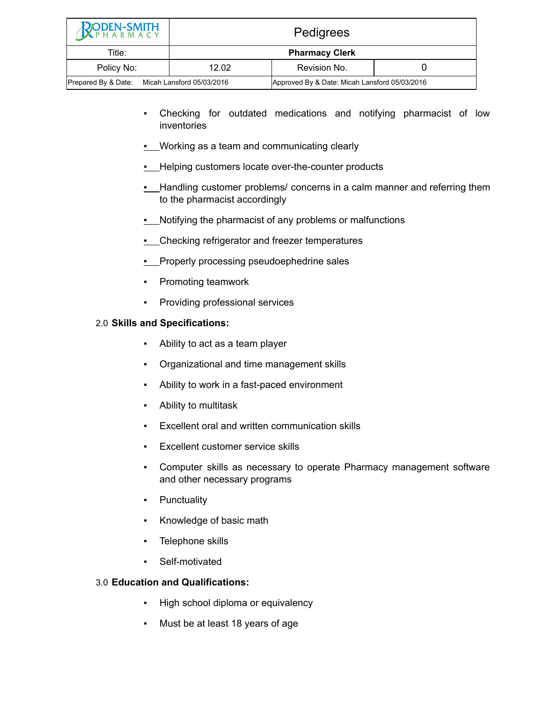| <b>RODEN-SMITH</b>                            | Pedigrees             |                                               |  |
|-----------------------------------------------|-----------------------|-----------------------------------------------|--|
| Title:                                        | <b>Pharmacy Clerk</b> |                                               |  |
| Policy No:                                    | 12.02                 | Revision No.                                  |  |
| Prepared By & Date: Micah Lansford 05/03/2016 |                       | Approved By & Date: Micah Lansford 05/03/2016 |  |

- Checking for outdated medications and notifying pharmacist of low inventories
- **.** Working as a team and communicating clearly
- **.** Helping customers locate over-the-counter products
- **.** Handling customer problems/ concerns in a calm manner and referring them to the pharmacist accordingly
- Notifying the pharmacist of any problems or malfunctions
- Checking refrigerator and freezer temperatures
- **•** Properly processing pseudoephedrine sales
- Promoting teamwork
- Providing professional services

## 2.0 **Skills and Specifications:**

- Ability to act as a team player
- Organizational and time management skills
- Ability to work in a fast-paced environment
- Ability to multitask
- Excellent oral and written communication skills
- Excellent customer service skills
- Computer skills as necessary to operate Pharmacy management software and other necessary programs
- **•** Punctuality
- Knowledge of basic math
- Telephone skills
- Self-motivated

## 3.0 **Education and Qualifications:**

- High school diploma or equivalency
- Must be at least 18 years of age